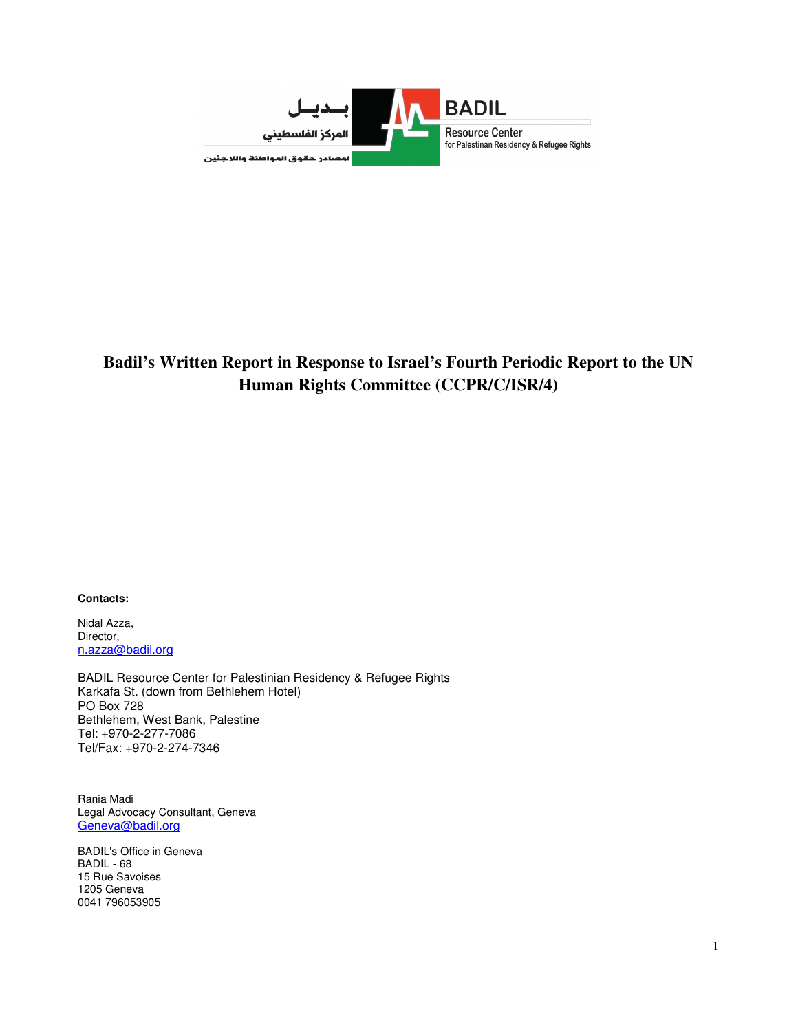

## **Badil's Written Report in Response to Israel's Fourth Periodic Report to the UN Human Rights Committee (CCPR/C/ISR/4)**

**Contacts:** 

Nidal Azza, Director, n.azza@badil.org

BADIL Resource Center for Palestinian Residency & Refugee Rights Karkafa St. (down from Bethlehem Hotel) PO Box 728 Bethlehem, West Bank, Palestine Tel: +970-2-277-7086 Tel/Fax: +970-2-274-7346

Rania Madi Legal Advocacy Consultant, Geneva Geneva@badil.org

BADIL's Office in Geneva BADIL - 68 15 Rue Savoises 1205 Geneva 0041 796053905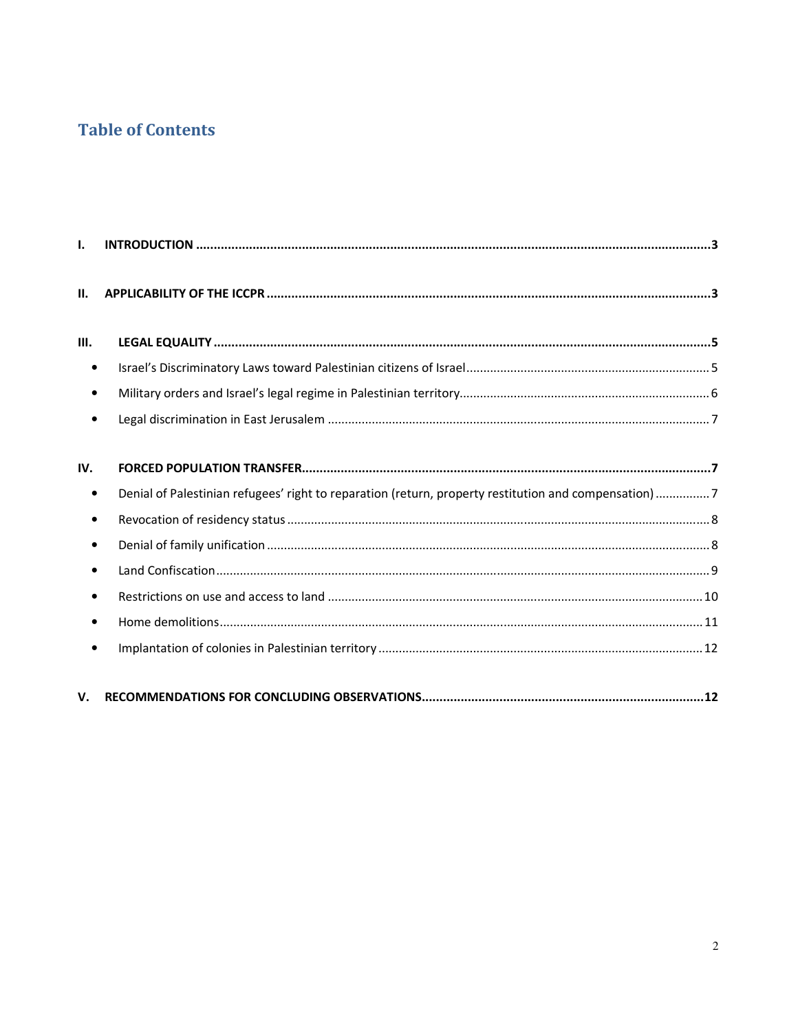# **Table of Contents**

| $\mathbf{L}$ |                                                                                                      |  |
|--------------|------------------------------------------------------------------------------------------------------|--|
| П.           |                                                                                                      |  |
| Ш.           |                                                                                                      |  |
| $\bullet$    |                                                                                                      |  |
| $\bullet$    |                                                                                                      |  |
|              |                                                                                                      |  |
| IV.          |                                                                                                      |  |
| $\bullet$    | Denial of Palestinian refugees' right to reparation (return, property restitution and compensation)7 |  |
| $\bullet$    |                                                                                                      |  |
| $\bullet$    |                                                                                                      |  |
| $\bullet$    |                                                                                                      |  |
| $\bullet$    |                                                                                                      |  |
| $\bullet$    |                                                                                                      |  |
|              |                                                                                                      |  |
| V.           |                                                                                                      |  |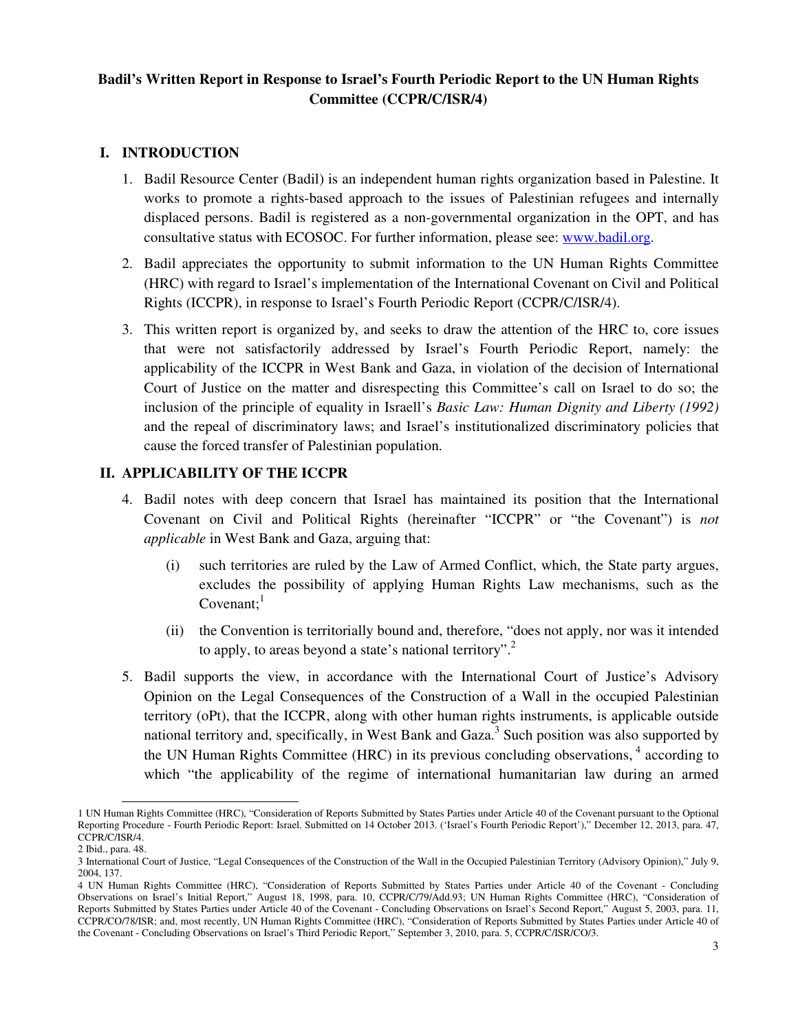## **Badil's Written Report in Response to Israel's Fourth Periodic Report to the UN Human Rights Committee (CCPR/C/ISR/4)**

## **I. INTRODUCTION**

- 1. Badil Resource Center (Badil) is an independent human rights organization based in Palestine. It works to promote a rights-based approach to the issues of Palestinian refugees and internally displaced persons. Badil is registered as a non-governmental organization in the OPT, and has consultative status with ECOSOC. For further information, please see: www.badil.org.
- 2. Badil appreciates the opportunity to submit information to the UN Human Rights Committee (HRC) with regard to Israel's implementation of the International Covenant on Civil and Political Rights (ICCPR), in response to Israel's Fourth Periodic Report (CCPR/C/ISR/4).
- 3. This written report is organized by, and seeks to draw the attention of the HRC to, core issues that were not satisfactorily addressed by Israel's Fourth Periodic Report, namely: the applicability of the ICCPR in West Bank and Gaza, in violation of the decision of International Court of Justice on the matter and disrespecting this Committee's call on Israel to do so; the inclusion of the principle of equality in Israell's *Basic Law: Human Dignity and Liberty (1992)* and the repeal of discriminatory laws; and Israel's institutionalized discriminatory policies that cause the forced transfer of Palestinian population.

## **II. APPLICABILITY OF THE ICCPR**

- 4. Badil notes with deep concern that Israel has maintained its position that the International Covenant on Civil and Political Rights (hereinafter "ICCPR" or "the Covenant") is *not applicable* in West Bank and Gaza, arguing that:
	- (i) such territories are ruled by the Law of Armed Conflict, which, the State party argues, excludes the possibility of applying Human Rights Law mechanisms, such as the Covenant; $<sup>1</sup>$ </sup>
	- (ii) the Convention is territorially bound and, therefore, "does not apply, nor was it intended to apply, to areas beyond a state's national territory".<sup>2</sup>
- 5. Badil supports the view, in accordance with the International Court of Justice's Advisory Opinion on the Legal Consequences of the Construction of a Wall in the occupied Palestinian territory (oPt), that the ICCPR, along with other human rights instruments, is applicable outside national territory and, specifically, in West Bank and Gaza.<sup>3</sup> Such position was also supported by the UN Human Rights Committee (HRC) in its previous concluding observations,  $4$  according to which "the applicability of the regime of international humanitarian law during an armed

<sup>&</sup>lt;u>.</u> 1 UN Human Rights Committee (HRC), "Consideration of Reports Submitted by States Parties under Article 40 of the Covenant pursuant to the Optional Reporting Procedure - Fourth Periodic Report: Israel. Submitted on 14 October 2013. ('Israel's Fourth Periodic Report')," December 12, 2013, para. 47, CCPR/C/ISR/4.

<sup>2</sup> Ibid., para. 48.

<sup>3</sup> International Court of Justice, "Legal Consequences of the Construction of the Wall in the Occupied Palestinian Territory (Advisory Opinion)," July 9, 2004, 137.

<sup>4</sup> UN Human Rights Committee (HRC), "Consideration of Reports Submitted by States Parties under Article 40 of the Covenant - Concluding Observations on Israel's Initial Report," August 18, 1998, para. 10, CCPR/C/79/Add.93; UN Human Rights Committee (HRC), "Consideration of Reports Submitted by States Parties under Article 40 of the Covenant - Concluding Observations on Israel's Second Report," August 5, 2003, para. 11, CCPR/CO/78/ISR; and, most recently, UN Human Rights Committee (HRC), "Consideration of Reports Submitted by States Parties under Article 40 of the Covenant - Concluding Observations on Israel's Third Periodic Report," September 3, 2010, para. 5, CCPR/C/ISR/CO/3.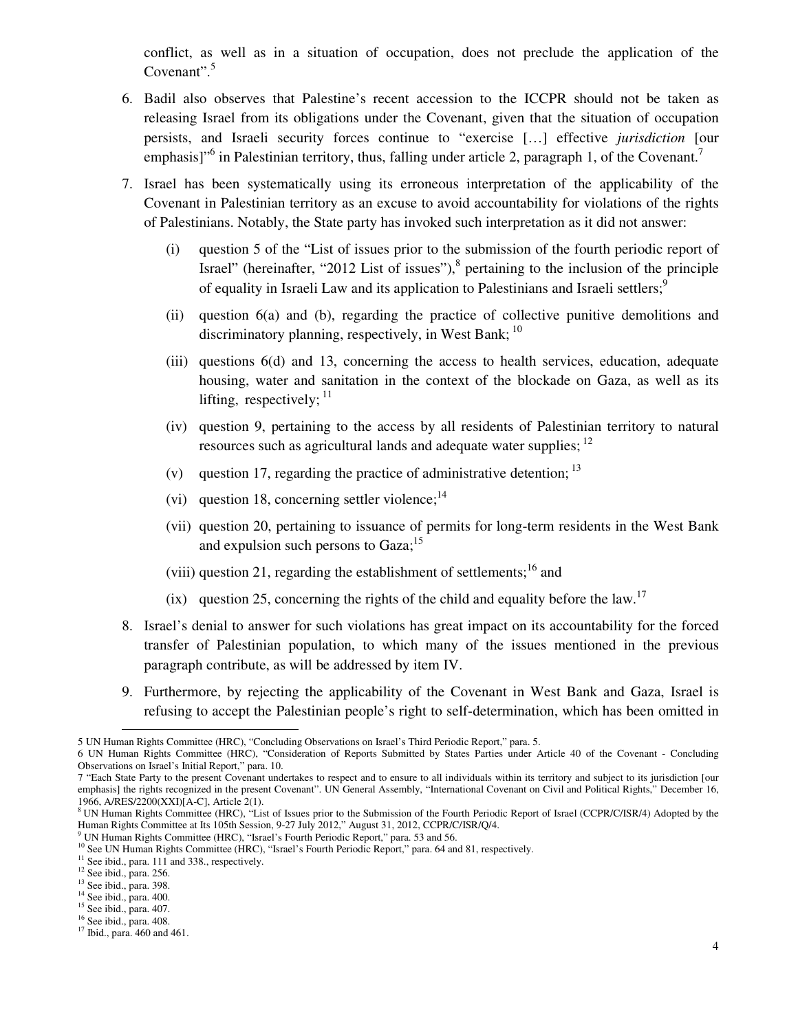conflict, as well as in a situation of occupation, does not preclude the application of the Covenant".<sup>5</sup>

- 6. Badil also observes that Palestine's recent accession to the ICCPR should not be taken as releasing Israel from its obligations under the Covenant, given that the situation of occupation persists, and Israeli security forces continue to "exercise […] effective *jurisdiction* [our emphasis]"<sup>6</sup> in Palestinian territory, thus, falling under article 2, paragraph 1, of the Covenant.<sup>7</sup>
- 7. Israel has been systematically using its erroneous interpretation of the applicability of the Covenant in Palestinian territory as an excuse to avoid accountability for violations of the rights of Palestinians. Notably, the State party has invoked such interpretation as it did not answer:
	- (i) question 5 of the "List of issues prior to the submission of the fourth periodic report of Israel" (hereinafter, "2012 List of issues"), $<sup>8</sup>$  pertaining to the inclusion of the principle</sup> of equality in Israeli Law and its application to Palestinians and Israeli settlers:<sup>9</sup>
	- (ii) question 6(a) and (b), regarding the practice of collective punitive demolitions and discriminatory planning, respectively, in West Bank;  $^{10}$
	- (iii) questions 6(d) and 13, concerning the access to health services, education, adequate housing, water and sanitation in the context of the blockade on Gaza, as well as its lifting, respectively;  $11$
	- (iv) question 9, pertaining to the access by all residents of Palestinian territory to natural resources such as agricultural lands and adequate water supplies; <sup>12</sup>
	- (v) question 17, regarding the practice of administrative detention;  $13$
	- (vi) question 18, concerning settler violence; $^{14}$
	- (vii) question 20, pertaining to issuance of permits for long-term residents in the West Bank and expulsion such persons to Gaza;<sup>15</sup>
	- (viii) question 21, regarding the establishment of settlements;<sup>16</sup> and
	- (ix) question 25, concerning the rights of the child and equality before the law.<sup>17</sup>
- 8. Israel's denial to answer for such violations has great impact on its accountability for the forced transfer of Palestinian population, to which many of the issues mentioned in the previous paragraph contribute, as will be addressed by item IV.
- 9. Furthermore, by rejecting the applicability of the Covenant in West Bank and Gaza, Israel is refusing to accept the Palestinian people's right to self-determination, which has been omitted in

<sup>9</sup> UN Human Rights Committee (HRC), "Israel's Fourth Periodic Report," para. 53 and 56.

<sup>5</sup> UN Human Rights Committee (HRC), "Concluding Observations on Israel's Third Periodic Report," para. 5.

<sup>6</sup> UN Human Rights Committee (HRC), "Consideration of Reports Submitted by States Parties under Article 40 of the Covenant - Concluding Observations on Israel's Initial Report," para. 10.

<sup>7 &</sup>quot;Each State Party to the present Covenant undertakes to respect and to ensure to all individuals within its territory and subject to its jurisdiction [our emphasis] the rights recognized in the present Covenant". UN General Assembly, "International Covenant on Civil and Political Rights," December 16, 1966, A/RES/2200(XXI)[A-C], Article 2(1).

<sup>&</sup>lt;sup>8</sup> UN Human Rights Committee (HRC), "List of Issues prior to the Submission of the Fourth Periodic Report of Israel (CCPR/C/ISR/4) Adopted by the Human Rights Committee at Its 105th Session, 9-27 July 2012," August 31, 2012, CCPR/C/ISR/Q/4.

<sup>&</sup>lt;sup>10</sup> See UN Human Rights Committee (HRC), "Israel's Fourth Periodic Report," para. 64 and 81, respectively.

<sup>&</sup>lt;sup>11</sup> See ibid., para. 111 and 338., respectively.

<sup>&</sup>lt;sup>12</sup> See ibid., para. 256.

<sup>&</sup>lt;sup>13</sup> See ibid., para. 398.

<sup>&</sup>lt;sup>14</sup> See ibid., para. 400.

<sup>15</sup> See ibid., para. 407.

<sup>16</sup> See ibid., para. 408. <sup>17</sup> Ibid., para. 460 and 461.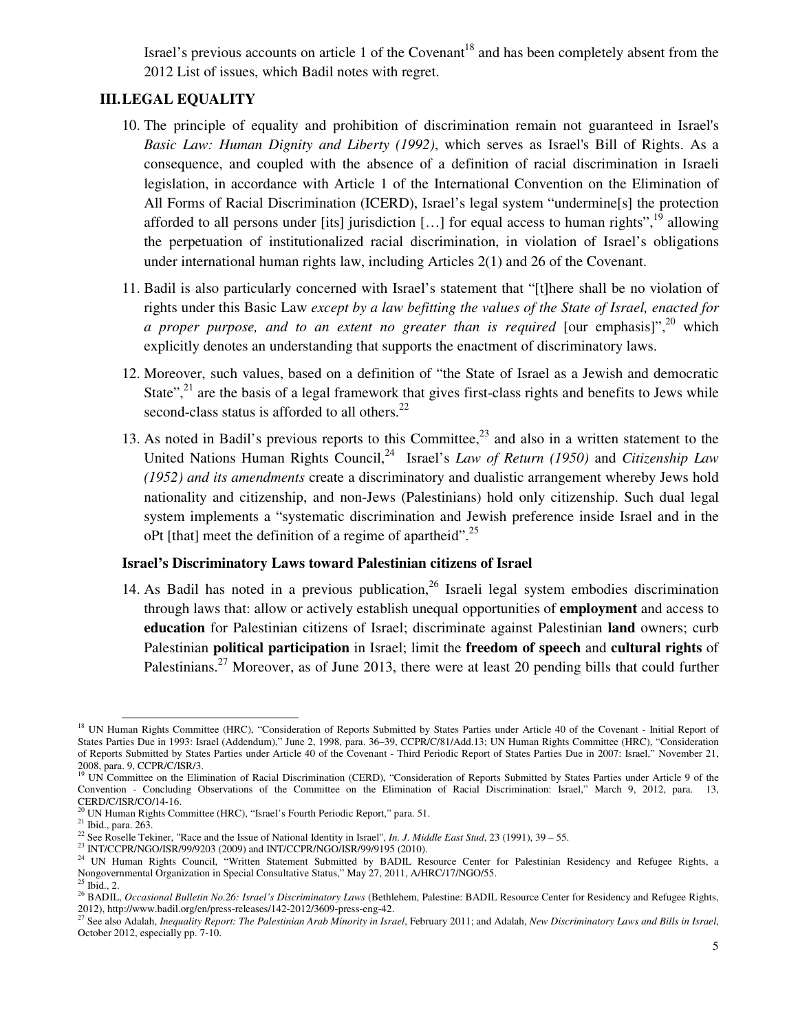Israel's previous accounts on article 1 of the Covenant<sup>18</sup> and has been completely absent from the 2012 List of issues, which Badil notes with regret.

### **III.LEGAL EQUALITY**

- 10. The principle of equality and prohibition of discrimination remain not guaranteed in Israel's *Basic Law: Human Dignity and Liberty (1992)*, which serves as Israel's Bill of Rights. As a consequence, and coupled with the absence of a definition of racial discrimination in Israeli legislation, in accordance with Article 1 of the International Convention on the Elimination of All Forms of Racial Discrimination (ICERD), Israel's legal system "undermine[s] the protection afforded to all persons under [its] jurisdiction [...] for equal access to human rights",  $^{19}$  allowing the perpetuation of institutionalized racial discrimination, in violation of Israel's obligations under international human rights law, including Articles 2(1) and 26 of the Covenant.
- 11. Badil is also particularly concerned with Israel's statement that "[t]here shall be no violation of rights under this Basic Law *except by a law befitting the values of the State of Israel, enacted for a proper purpose, and to an extent no greater than is required* [our emphasis]",<sup>20</sup> which explicitly denotes an understanding that supports the enactment of discriminatory laws.
- 12. Moreover, such values, based on a definition of "the State of Israel as a Jewish and democratic State", $2<sup>1</sup>$  are the basis of a legal framework that gives first-class rights and benefits to Jews while second-class status is afforded to all others. $^{22}$
- 13. As noted in Badil's previous reports to this Committee,<sup>23</sup> and also in a written statement to the United Nations Human Rights Council,<sup>24</sup> Israel's *Law of Return (1950)* and *Citizenship Law (1952) and its amendments* create a discriminatory and dualistic arrangement whereby Jews hold nationality and citizenship, and non-Jews (Palestinians) hold only citizenship. Such dual legal system implements a "systematic discrimination and Jewish preference inside Israel and in the oPt [that] meet the definition of a regime of apartheid".<sup>25</sup>

#### **Israel's Discriminatory Laws toward Palestinian citizens of Israel**

14. As Badil has noted in a previous publication.<sup>26</sup> Israeli legal system embodies discrimination through laws that: allow or actively establish unequal opportunities of **employment** and access to **education** for Palestinian citizens of Israel; discriminate against Palestinian **land** owners; curb Palestinian **political participation** in Israel; limit the **freedom of speech** and **cultural rights** of Palestinians.<sup>27</sup> Moreover, as of June 2013, there were at least 20 pending bills that could further

<sup>&</sup>lt;sup>18</sup> UN Human Rights Committee (HRC), "Consideration of Reports Submitted by States Parties under Article 40 of the Covenant - Initial Report of States Parties Due in 1993: Israel (Addendum)," June 2, 1998, para. 36–39, CCPR/C/81/Add.13; UN Human Rights Committee (HRC), "Consideration of Reports Submitted by States Parties under Article 40 of the Covenant - Third Periodic Report of States Parties Due in 2007: Israel," November 21, 2008, para. 9, CCPR/C/ISR/3.<br><sup>19</sup> UN Committee on the Elimination of Racial Discrimination (CERD), "Consideration of Reports Submitted by States Parties under Article 9 of the

Convention - Concluding Observations of the Committee on the Elimination of Racial Discrimination: Israel," March 9, 2012, para. 13, CERD/C/ISR/CO/14-16.

 $20$  UN Human Rights Committee (HRC), "Israel's Fourth Periodic Report," para. 51.

<sup>21</sup> Ibid., para. 263.

<sup>&</sup>lt;sup>22</sup> See Roselle Tekiner, "Race and the Issue of National Identity in Israel", *In. J. Middle East Stud*, 23 (1991), 39 – 55.

<sup>&</sup>lt;sup>23</sup> INT/CCPR/NGO/ISR/99/9203 (2009) and INT/CCPR/NGO/ISR/99/9195 (2010).

<sup>&</sup>lt;sup>24</sup> UN Human Rights Council, "Written Statement Submitted by BADIL Resource Center for Palestinian Residency and Refugee Rights, a Nongovernmental Organization in Special Consultative Status," May 27, 2011, A/HRC/17/NGO/55.<br><sup>25</sup> Ibid., 2.

<sup>26</sup> BADIL, *Occasional Bulletin No.26: Israel's Discriminatory Laws* (Bethlehem, Palestine: BADIL Resource Center for Residency and Refugee Rights,

<sup>2012),</sup> http://www.badil.org/en/press-releases/142-2012/3609-press-eng-42.<br><sup>27</sup> See also Adalah, *Inequality Report: The Palestinian Arab Minority in Israel*, February 2011; and Adalah, *New Discriminatory Laws and Bills in* October 2012, especially pp. 7-10.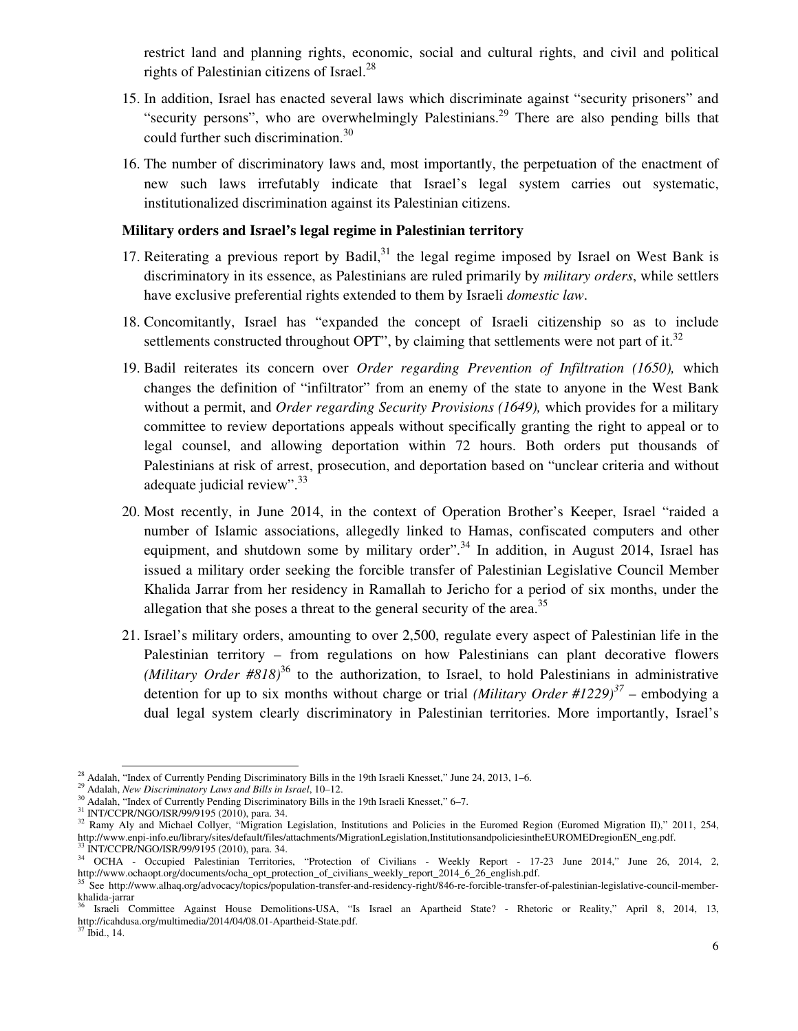restrict land and planning rights, economic, social and cultural rights, and civil and political rights of Palestinian citizens of Israel. $^{28}$ 

- 15. In addition, Israel has enacted several laws which discriminate against "security prisoners" and "security persons", who are overwhelmingly Palestinians.<sup>29</sup> There are also pending bills that could further such discrimination.<sup>30</sup>
- 16. The number of discriminatory laws and, most importantly, the perpetuation of the enactment of new such laws irrefutably indicate that Israel's legal system carries out systematic, institutionalized discrimination against its Palestinian citizens.

#### **Military orders and Israel's legal regime in Palestinian territory**

- 17. Reiterating a previous report by Badil, $31$  the legal regime imposed by Israel on West Bank is discriminatory in its essence, as Palestinians are ruled primarily by *military orders*, while settlers have exclusive preferential rights extended to them by Israeli *domestic law*.
- 18. Concomitantly, Israel has "expanded the concept of Israeli citizenship so as to include settlements constructed throughout OPT", by claiming that settlements were not part of it. $32$
- 19. Badil reiterates its concern over *Order regarding Prevention of Infiltration (1650),* which changes the definition of "infiltrator" from an enemy of the state to anyone in the West Bank without a permit, and *Order regarding Security Provisions (1649),* which provides for a military committee to review deportations appeals without specifically granting the right to appeal or to legal counsel, and allowing deportation within 72 hours. Both orders put thousands of Palestinians at risk of arrest, prosecution, and deportation based on "unclear criteria and without adequate judicial review".<sup>33</sup>
- 20. Most recently, in June 2014, in the context of Operation Brother's Keeper, Israel "raided a number of Islamic associations, allegedly linked to Hamas, confiscated computers and other equipment, and shutdown some by military order".<sup>34</sup> In addition, in August 2014, Israel has issued a military order seeking the forcible transfer of Palestinian Legislative Council Member Khalida Jarrar from her residency in Ramallah to Jericho for a period of six months, under the allegation that she poses a threat to the general security of the area.<sup>35</sup>
- 21. Israel's military orders, amounting to over 2,500, regulate every aspect of Palestinian life in the Palestinian territory – from regulations on how Palestinians can plant decorative flowers *(Military Order #818)*<sup>36</sup> to the authorization, to Israel, to hold Palestinians in administrative detention for up to six months without charge or trial *(Military Order #1229)*<sup>37</sup> – embodying a dual legal system clearly discriminatory in Palestinian territories. More importantly, Israel's

<sup>&</sup>lt;u>.</u> <sup>28</sup> Adalah, "Index of Currently Pending Discriminatory Bills in the 19th Israeli Knesset," June 24, 2013, 1–6.

<sup>29</sup> Adalah, *New Discriminatory Laws and Bills in Israel*, 10–12.

<sup>30</sup> Adalah, "Index of Currently Pending Discriminatory Bills in the 19th Israeli Knesset," 6–7.

<sup>31</sup> INT/CCPR/NGO/ISR/99/9195 (2010), para. 34.

<sup>&</sup>lt;sup>32</sup> Ramy Aly and Michael Collyer, "Migration Legislation, Institutions and Policies in the Euromed Region (Euromed Migration II)," 2011, 254, http://www.enpi-info.eu/library/sites/default/files/attachments/MigrationLegislation,InstitutionsandpoliciesintheEUROMEDregionEN\_eng.pdf.

 $^{33}$  INT/CCPR/NGO/ISR/99/9195 (2010), para. 34.<br> $^{34}$  OCHA - Occupied Palestinian Territories OCHA - Occupied Palestinian Territories, "Protection of Civilians - Weekly Report - 17-23 June 2014," June 26, 2014, 2, http://www.ochaopt.org/documents/ocha\_opt\_protection\_of\_civilians\_weekly\_report\_2014\_6\_26\_english.pdf.

See http://www.alhaq.org/advocacy/topics/population-transfer-and-residency-right/846-re-forcible-transfer-of-palestinian-legislative-council-memberkhalida-jarrar

<sup>36</sup> Israeli Committee Against House Demolitions-USA, "Is Israel an Apartheid State? - Rhetoric or Reality," April 8, 2014, 13, http://icahdusa.org/multimedia/2014/04/08.01-Apartheid-State.pdf.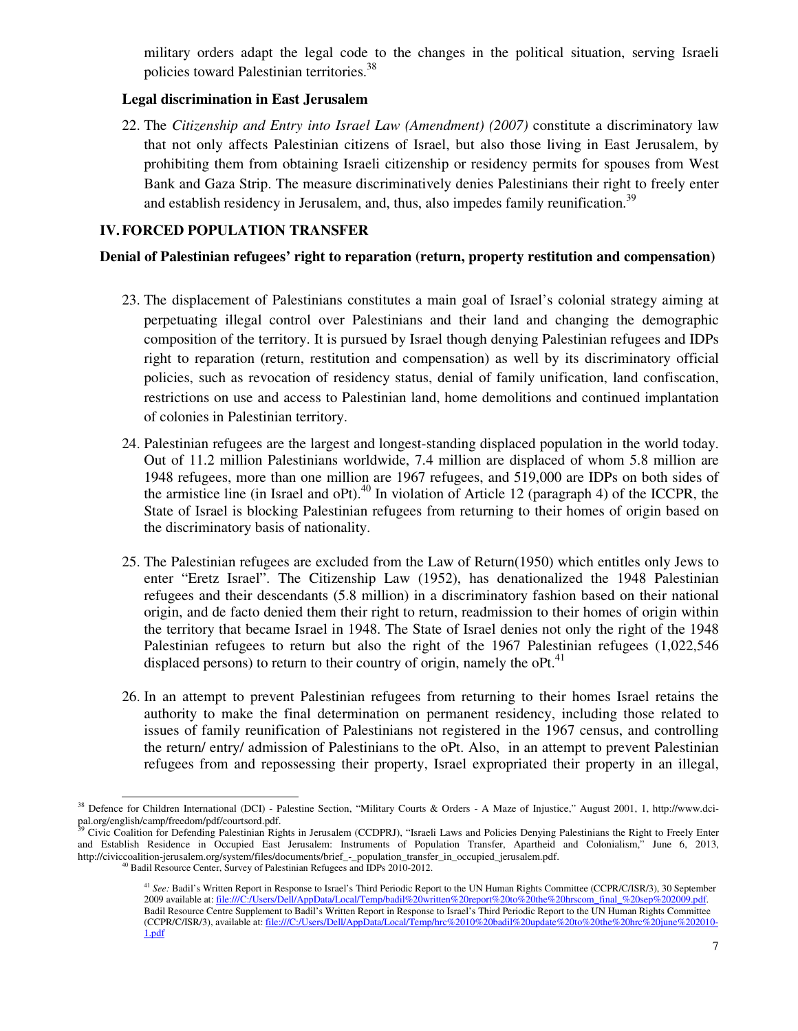military orders adapt the legal code to the changes in the political situation, serving Israeli policies toward Palestinian territories.<sup>38</sup>

### **Legal discrimination in East Jerusalem**

22. The *Citizenship and Entry into Israel Law (Amendment) (2007)* constitute a discriminatory law that not only affects Palestinian citizens of Israel, but also those living in East Jerusalem, by prohibiting them from obtaining Israeli citizenship or residency permits for spouses from West Bank and Gaza Strip. The measure discriminatively denies Palestinians their right to freely enter and establish residency in Jerusalem, and, thus, also impedes family reunification.<sup>39</sup>

## **IV.FORCED POPULATION TRANSFER**

#### **Denial of Palestinian refugees' right to reparation (return, property restitution and compensation)**

- 23. The displacement of Palestinians constitutes a main goal of Israel's colonial strategy aiming at perpetuating illegal control over Palestinians and their land and changing the demographic composition of the territory. It is pursued by Israel though denying Palestinian refugees and IDPs right to reparation (return, restitution and compensation) as well by its discriminatory official policies, such as revocation of residency status, denial of family unification, land confiscation, restrictions on use and access to Palestinian land, home demolitions and continued implantation of colonies in Palestinian territory.
- 24. Palestinian refugees are the largest and longest-standing displaced population in the world today. Out of 11.2 million Palestinians worldwide, 7.4 million are displaced of whom 5.8 million are 1948 refugees, more than one million are 1967 refugees, and 519,000 are IDPs on both sides of the armistice line (in Israel and oPt).<sup>40</sup> In violation of Article 12 (paragraph 4) of the ICCPR, the State of Israel is blocking Palestinian refugees from returning to their homes of origin based on the discriminatory basis of nationality.
- 25. The Palestinian refugees are excluded from the Law of Return(1950) which entitles only Jews to enter "Eretz Israel". The Citizenship Law (1952), has denationalized the 1948 Palestinian refugees and their descendants (5.8 million) in a discriminatory fashion based on their national origin, and de facto denied them their right to return, readmission to their homes of origin within the territory that became Israel in 1948. The State of Israel denies not only the right of the 1948 Palestinian refugees to return but also the right of the 1967 Palestinian refugees (1,022,546 displaced persons) to return to their country of origin, namely the  $oPt<sup>41</sup>$
- 26. In an attempt to prevent Palestinian refugees from returning to their homes Israel retains the authority to make the final determination on permanent residency, including those related to issues of family reunification of Palestinians not registered in the 1967 census, and controlling the return/ entry/ admission of Palestinians to the oPt. Also, in an attempt to prevent Palestinian refugees from and repossessing their property, Israel expropriated their property in an illegal,

<sup>38</sup> Defence for Children International (DCI) - Palestine Section, "Military Courts & Orders - A Maze of Injustice," August 2001, 1, http://www.dcipal.org/english/camp/freedom/pdf/courtsord.pdf.

<sup>39</sup> Civic Coalition for Defending Palestinian Rights in Jerusalem (CCDPRJ), "Israeli Laws and Policies Denying Palestinians the Right to Freely Enter and Establish Residence in Occupied East Jerusalem: Instruments of Population Transfer, Apartheid and Colonialism," June 6, 2013, http://civiccoalition-jerusalem.org/system/files/documents/brief\_-\_population\_transfer\_in\_occupied\_jerusalem.pdf.

<sup>&</sup>lt;sup>0</sup> Badil Resource Center, Survey of Palestinian Refugees and IDPs 2010-2012.

<sup>41</sup> *See:* Badil's Written Report in Response to Israel's Third Periodic Report to the UN Human Rights Committee (CCPR/C/ISR/3), 30 September 2009 available at: file:///C:/Users/Dell/AppData/Local/Temp/badil%20written%20report%20to%20the%20hrscom\_final\_%20sep%202009.pdf. Badil Resource Centre Supplement to Badil's Written Report in Response to Israel's Third Periodic Report to the UN Human Rights Committee (CCPR/C/ISR/3), available at: file:///C:/Users/Dell/AppData/Local/Temp/hrc%2010%20badil%20update%20to%20the%20hrc%20june%202010- 1.pdf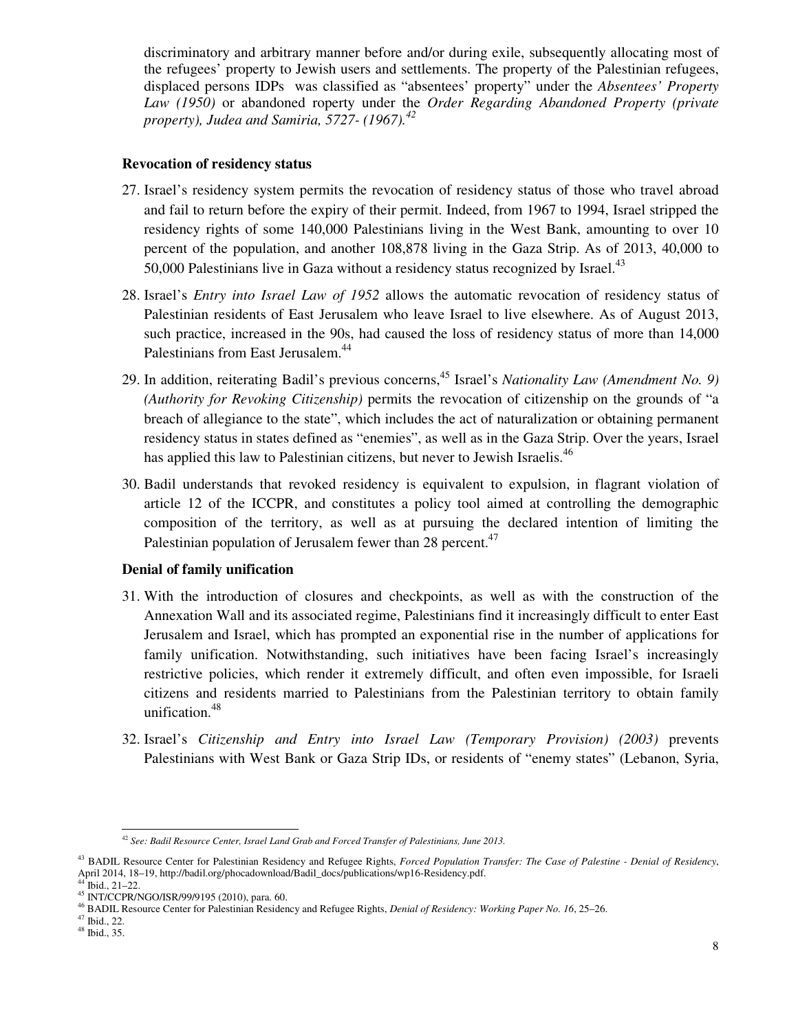discriminatory and arbitrary manner before and/or during exile, subsequently allocating most of the refugees' property to Jewish users and settlements. The property of the Palestinian refugees, displaced persons IDPs was classified as "absentees' property" under the *Absentees' Property Law (1950)* or abandoned roperty under the *Order Regarding Abandoned Property (private property), Judea and Samiria, 5727- (1967).<sup>42</sup>*

#### **Revocation of residency status**

- 27. Israel's residency system permits the revocation of residency status of those who travel abroad and fail to return before the expiry of their permit. Indeed, from 1967 to 1994, Israel stripped the residency rights of some 140,000 Palestinians living in the West Bank, amounting to over 10 percent of the population, and another 108,878 living in the Gaza Strip. As of 2013, 40,000 to 50,000 Palestinians live in Gaza without a residency status recognized by Israel. $43$
- 28. Israel's *Entry into Israel Law of 1952* allows the automatic revocation of residency status of Palestinian residents of East Jerusalem who leave Israel to live elsewhere. As of August 2013, such practice, increased in the 90s, had caused the loss of residency status of more than 14,000 Palestinians from East Jerusalem.<sup>44</sup>
- 29. In addition, reiterating Badil's previous concerns,<sup>45</sup> Israel's *Nationality Law (Amendment No. 9) (Authority for Revoking Citizenship)* permits the revocation of citizenship on the grounds of "a breach of allegiance to the state", which includes the act of naturalization or obtaining permanent residency status in states defined as "enemies", as well as in the Gaza Strip. Over the years, Israel has applied this law to Palestinian citizens, but never to Jewish Israelis.<sup>46</sup>
- 30. Badil understands that revoked residency is equivalent to expulsion, in flagrant violation of article 12 of the ICCPR, and constitutes a policy tool aimed at controlling the demographic composition of the territory, as well as at pursuing the declared intention of limiting the Palestinian population of Jerusalem fewer than 28 percent.<sup>47</sup>

## **Denial of family unification**

- 31. With the introduction of closures and checkpoints, as well as with the construction of the Annexation Wall and its associated regime, Palestinians find it increasingly difficult to enter East Jerusalem and Israel, which has prompted an exponential rise in the number of applications for family unification. Notwithstanding, such initiatives have been facing Israel's increasingly restrictive policies, which render it extremely difficult, and often even impossible, for Israeli citizens and residents married to Palestinians from the Palestinian territory to obtain family unification.<sup>48</sup>
- 32. Israel's *Citizenship and Entry into Israel Law (Temporary Provision) (2003)* prevents Palestinians with West Bank or Gaza Strip IDs, or residents of "enemy states" (Lebanon, Syria,

<sup>&</sup>lt;u>.</u> <sup>42</sup> *See: Badil Resource Center, Israel Land Grab and Forced Transfer of Palestinians, June 2013.*

<sup>43</sup> BADIL Resource Center for Palestinian Residency and Refugee Rights, *Forced Population Transfer: The Case of Palestine - Denial of Residency*, April 2014, 18–19, http://badil.org/phocadownload/Badil\_docs/publications/wp16-Residency.pdf.  $\text{Ibid., } 21-22.$ 

<sup>45</sup> INT/CCPR/NGO/ISR/99/9195 (2010), para. 60.

<sup>46</sup> BADIL Resource Center for Palestinian Residency and Refugee Rights, *Denial of Residency: Working Paper No. 16*, 25–26.

<sup>47</sup> Ibid., 22.

<sup>48</sup> Ibid., 35.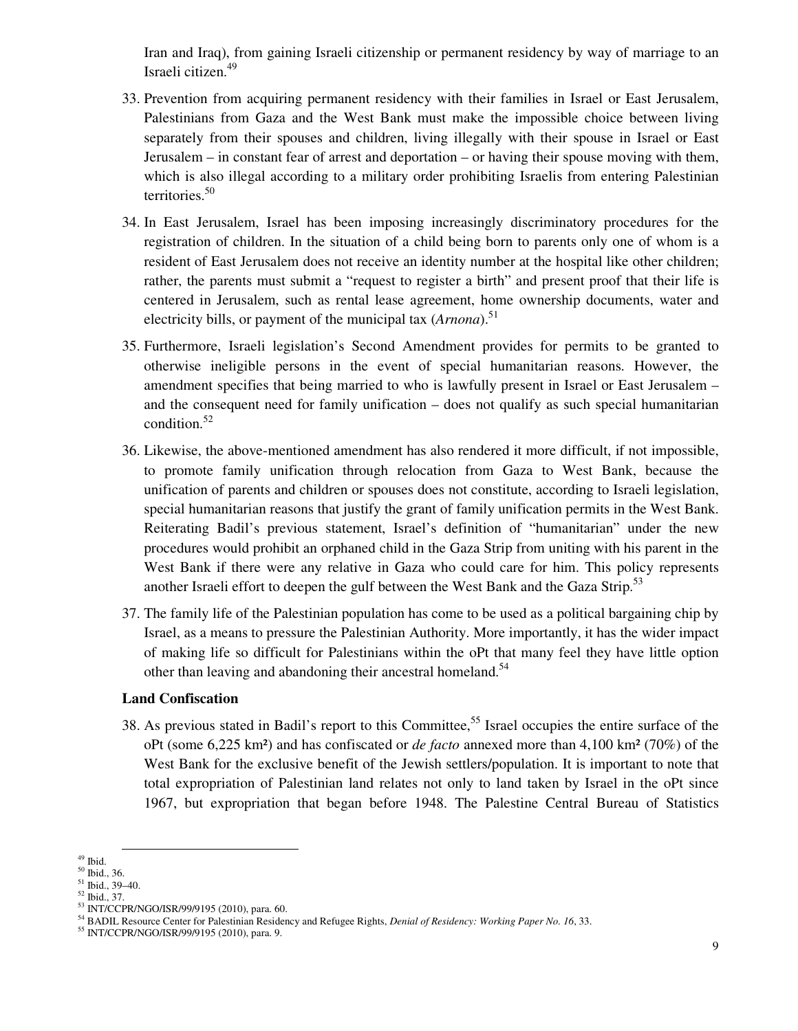Iran and Iraq), from gaining Israeli citizenship or permanent residency by way of marriage to an Israeli citizen.<sup>49</sup>

- 33. Prevention from acquiring permanent residency with their families in Israel or East Jerusalem, Palestinians from Gaza and the West Bank must make the impossible choice between living separately from their spouses and children, living illegally with their spouse in Israel or East Jerusalem – in constant fear of arrest and deportation – or having their spouse moving with them, which is also illegal according to a military order prohibiting Israelis from entering Palestinian territories.<sup>50</sup>
- 34. In East Jerusalem, Israel has been imposing increasingly discriminatory procedures for the registration of children. In the situation of a child being born to parents only one of whom is a resident of East Jerusalem does not receive an identity number at the hospital like other children; rather, the parents must submit a "request to register a birth" and present proof that their life is centered in Jerusalem, such as rental lease agreement, home ownership documents, water and electricity bills, or payment of the municipal tax (*Arnona*).<sup>51</sup>
- 35. Furthermore, Israeli legislation's Second Amendment provides for permits to be granted to otherwise ineligible persons in the event of special humanitarian reasons. However, the amendment specifies that being married to who is lawfully present in Israel or East Jerusalem – and the consequent need for family unification – does not qualify as such special humanitarian condition.<sup>52</sup>
- 36. Likewise, the above-mentioned amendment has also rendered it more difficult, if not impossible, to promote family unification through relocation from Gaza to West Bank, because the unification of parents and children or spouses does not constitute, according to Israeli legislation, special humanitarian reasons that justify the grant of family unification permits in the West Bank. Reiterating Badil's previous statement, Israel's definition of "humanitarian" under the new procedures would prohibit an orphaned child in the Gaza Strip from uniting with his parent in the West Bank if there were any relative in Gaza who could care for him. This policy represents another Israeli effort to deepen the gulf between the West Bank and the Gaza Strip.<sup>53</sup>
- 37. The family life of the Palestinian population has come to be used as a political bargaining chip by Israel, as a means to pressure the Palestinian Authority. More importantly, it has the wider impact of making life so difficult for Palestinians within the oPt that many feel they have little option other than leaving and abandoning their ancestral homeland.<sup>54</sup>

#### **Land Confiscation**

38. As previous stated in Badil's report to this Committee,<sup>55</sup> Israel occupies the entire surface of the oPt (some 6,225 km²) and has confiscated or *de facto* annexed more than 4,100 km² (70%) of the West Bank for the exclusive benefit of the Jewish settlers/population. It is important to note that total expropriation of Palestinian land relates not only to land taken by Israel in the oPt since 1967, but expropriation that began before 1948. The Palestine Central Bureau of Statistics

 $^{\rm 49}$  Ibid.

<sup>50</sup> Ibid., 36.

 $51$  Ibid., 39-40.

<sup>52</sup> Ibid., 37.

<sup>53</sup> INT/CCPR/NGO/ISR/99/9195 (2010), para. 60.

<sup>54</sup> BADIL Resource Center for Palestinian Residency and Refugee Rights, *Denial of Residency: Working Paper No. 16*, 33.

<sup>55</sup> INT/CCPR/NGO/ISR/99/9195 (2010), para. 9.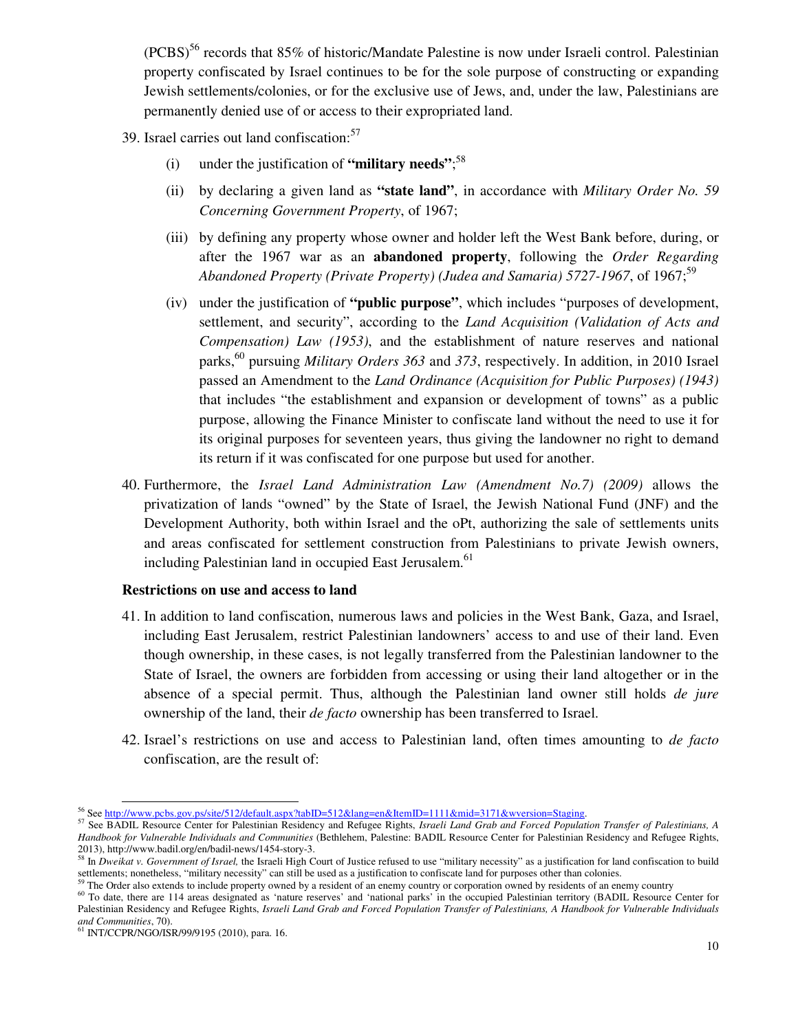$(PCBS)^{56}$  records that 85% of historic/Mandate Palestine is now under Israeli control. Palestinian property confiscated by Israel continues to be for the sole purpose of constructing or expanding Jewish settlements/colonies, or for the exclusive use of Jews, and, under the law, Palestinians are permanently denied use of or access to their expropriated land.

- 39. Israel carries out land confiscation: $57$ 
	- (i) under the justification of **"military needs"**; 58
	- (ii) by declaring a given land as **"state land"**, in accordance with *Military Order No. 59 Concerning Government Property*, of 1967;
	- (iii) by defining any property whose owner and holder left the West Bank before, during, or after the 1967 war as an **abandoned property**, following the *Order Regarding*  Abandoned Property (Private Property) (Judea and Samaria) 5727-1967, of 1967;<sup>59</sup>
	- (iv) under the justification of **"public purpose"**, which includes "purposes of development, settlement, and security", according to the *Land Acquisition (Validation of Acts and Compensation) Law (1953)*, and the establishment of nature reserves and national parks,<sup>60</sup> pursuing *Military Orders 363* and 373, respectively. In addition, in 2010 Israel passed an Amendment to the *Land Ordinance (Acquisition for Public Purposes) (1943)* that includes "the establishment and expansion or development of towns" as a public purpose, allowing the Finance Minister to confiscate land without the need to use it for its original purposes for seventeen years, thus giving the landowner no right to demand its return if it was confiscated for one purpose but used for another.
- 40. Furthermore, the *Israel Land Administration Law (Amendment No.7) (2009)* allows the privatization of lands "owned" by the State of Israel, the Jewish National Fund (JNF) and the Development Authority, both within Israel and the oPt, authorizing the sale of settlements units and areas confiscated for settlement construction from Palestinians to private Jewish owners, including Palestinian land in occupied East Jerusalem.<sup>61</sup>

#### **Restrictions on use and access to land**

- 41. In addition to land confiscation, numerous laws and policies in the West Bank, Gaza, and Israel, including East Jerusalem, restrict Palestinian landowners' access to and use of their land. Even though ownership, in these cases, is not legally transferred from the Palestinian landowner to the State of Israel, the owners are forbidden from accessing or using their land altogether or in the absence of a special permit. Thus, although the Palestinian land owner still holds *de jure* ownership of the land, their *de facto* ownership has been transferred to Israel.
- 42. Israel's restrictions on use and access to Palestinian land, often times amounting to *de facto* confiscation, are the result of:

<sup>56</sup> See http://www.pcbs.gov.ps/site/512/default.aspx?tabID=512&lang=en&ItemID=1111&mid=3171&wversion=Staging.

<sup>57</sup> See BADIL Resource Center for Palestinian Residency and Refugee Rights, *Israeli Land Grab and Forced Population Transfer of Palestinians, A Handbook for Vulnerable Individuals and Communities* (Bethlehem, Palestine: BADIL Resource Center for Palestinian Residency and Refugee Rights, 2013), http://www.badil.org/en/badil-news/1454-story-3.

<sup>&</sup>lt;sup>58</sup> In *Dweikat v. Government of Israel*, the Israeli High Court of Justice refused to use "military necessity" as a justification for land confiscation to build settlements; nonetheless, "military necessity" can still be used as a justification to confiscate land for purposes other than colonies.<br><sup>59</sup> The Order also extends to include property owned by a resident of an enemy count

<sup>&</sup>lt;sup>60</sup> To date, there are 114 areas designated as 'nature reserves' and 'national parks' in the occupied Palestinian territory (BADIL Resource Center for Palestinian Residency and Refugee Rights, *Israeli Land Grab and Forced Population Transfer of Palestinians, A Handbook for Vulnerable Individuals and Communities*, 70). <sup>61</sup> INT/CCPR/NGO/ISR/99/9195 (2010), para. 16.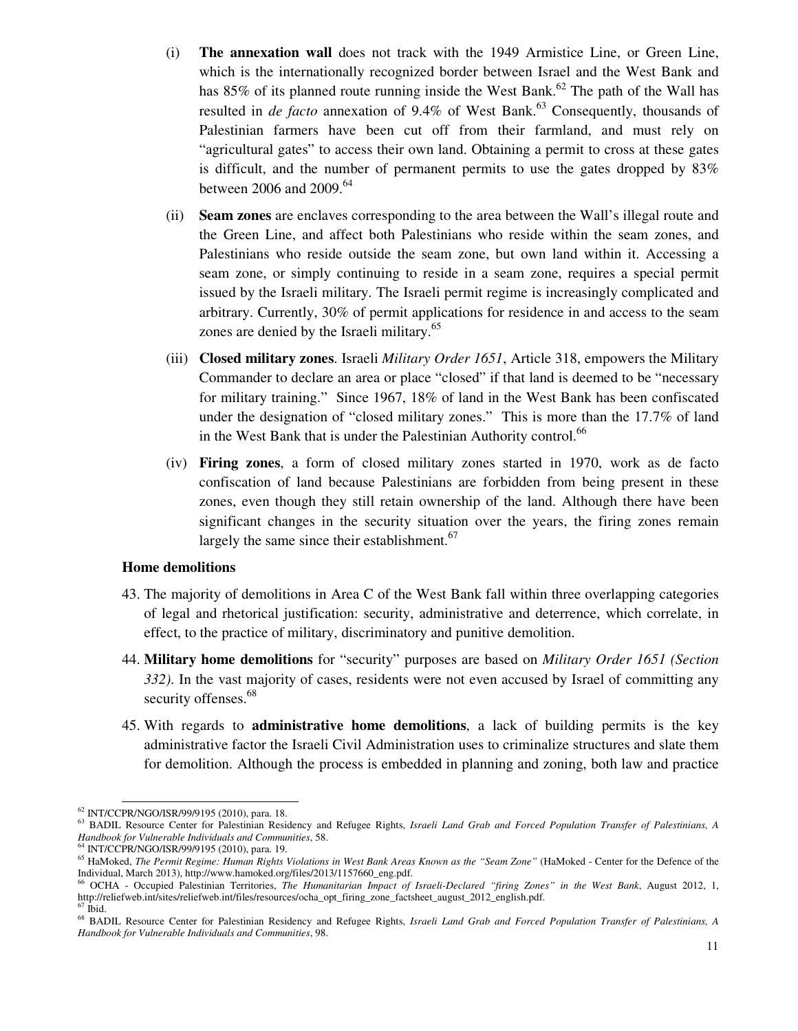- (i) **The annexation wall** does not track with the 1949 Armistice Line, or Green Line, which is the internationally recognized border between Israel and the West Bank and has  $85\%$  of its planned route running inside the West Bank.<sup>62</sup> The path of the Wall has resulted in *de facto* annexation of 9.4% of West Bank.<sup>63</sup> Consequently, thousands of Palestinian farmers have been cut off from their farmland, and must rely on "agricultural gates" to access their own land. Obtaining a permit to cross at these gates is difficult, and the number of permanent permits to use the gates dropped by 83% between 2006 and 2009. $64$
- (ii) **Seam zones** are enclaves corresponding to the area between the Wall's illegal route and the Green Line, and affect both Palestinians who reside within the seam zones, and Palestinians who reside outside the seam zone, but own land within it. Accessing a seam zone, or simply continuing to reside in a seam zone, requires a special permit issued by the Israeli military. The Israeli permit regime is increasingly complicated and arbitrary. Currently, 30% of permit applications for residence in and access to the seam zones are denied by the Israeli military.<sup>65</sup>
- (iii) **Closed military zones**. Israeli *Military Order 1651*, Article 318, empowers the Military Commander to declare an area or place "closed" if that land is deemed to be "necessary for military training." Since 1967, 18% of land in the West Bank has been confiscated under the designation of "closed military zones." This is more than the 17.7% of land in the West Bank that is under the Palestinian Authority control.<sup>66</sup>
- (iv) **Firing zones**, a form of closed military zones started in 1970, work as de facto confiscation of land because Palestinians are forbidden from being present in these zones, even though they still retain ownership of the land. Although there have been significant changes in the security situation over the years, the firing zones remain largely the same since their establishment.<sup>67</sup>

#### **Home demolitions**

- 43. The majority of demolitions in Area C of the West Bank fall within three overlapping categories of legal and rhetorical justification: security, administrative and deterrence, which correlate, in effect, to the practice of military, discriminatory and punitive demolition.
- 44. **Military home demolitions** for "security" purposes are based on *Military Order 1651 (Section 332)*. In the vast majority of cases, residents were not even accused by Israel of committing any security offenses.<sup>68</sup>
- 45. With regards to **administrative home demolitions**, a lack of building permits is the key administrative factor the Israeli Civil Administration uses to criminalize structures and slate them for demolition. Although the process is embedded in planning and zoning, both law and practice

<sup>&</sup>lt;u>.</u> <sup>62</sup> INT/CCPR/NGO/ISR/99/9195 (2010), para. 18.

<sup>63</sup> BADIL Resource Center for Palestinian Residency and Refugee Rights, *Israeli Land Grab and Forced Population Transfer of Palestinians, A Handbook for Vulnerable Individuals and Communities*, 58.

<sup>64</sup> INT/CCPR/NGO/ISR/99/9195 (2010), para. 19.

<sup>65</sup> HaMoked, *The Permit Regime: Human Rights Violations in West Bank Areas Known as the "Seam Zone"* (HaMoked - Center for the Defence of the Individual, March 2013), http://www.hamoked.org/files/2013/1157660\_eng.pdf.<br>
<sup>66</sup> OCHA Cognatist Pel times The Control Pel times Cognatist Pel times The Cognatist Pel times The Cognatist Pel times The Cognatist Pel times T

<sup>66</sup> OCHA - Occupied Palestinian Territories, *The Humanitarian Impact of Israeli-Declared "firing Zones" in the West Bank*, August 2012, 1, http://reliefweb.int/sites/reliefweb.int/files/resources/ocha\_opt\_firing\_zone\_factsheet\_august\_2012\_english.pdf.  $\rm ^{67}$ Ibid.

<sup>68</sup> BADIL Resource Center for Palestinian Residency and Refugee Rights, *Israeli Land Grab and Forced Population Transfer of Palestinians, A Handbook for Vulnerable Individuals and Communities*, 98.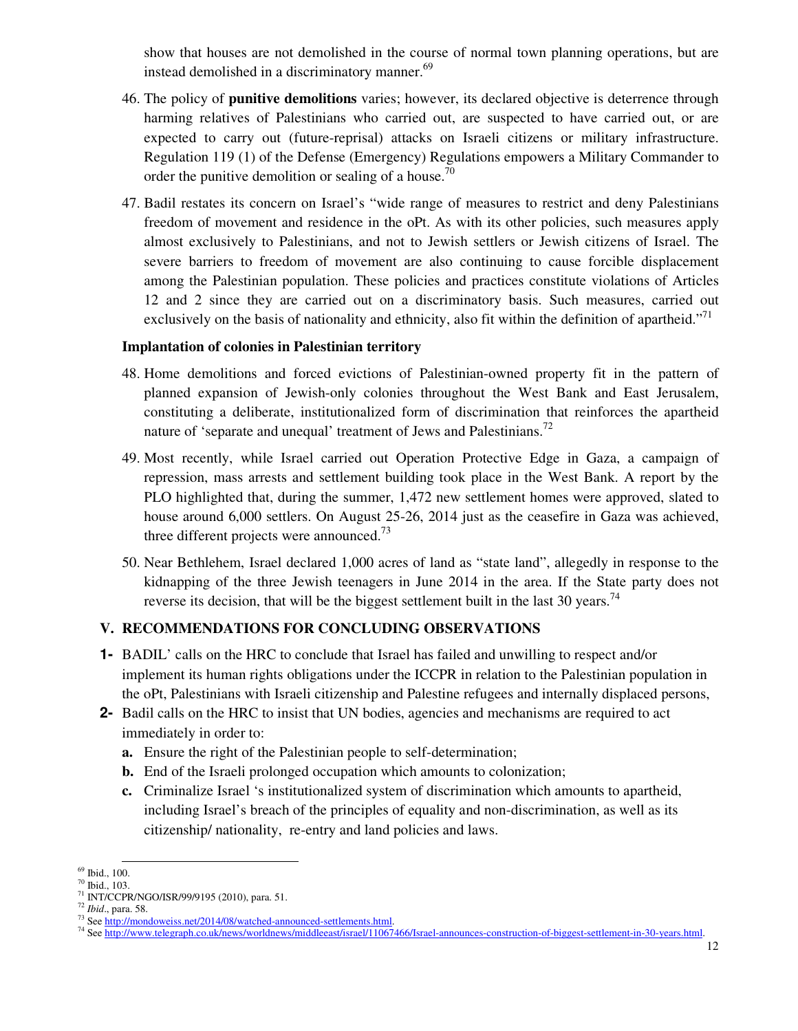show that houses are not demolished in the course of normal town planning operations, but are instead demolished in a discriminatory manner.<sup>69</sup>

- 46. The policy of **punitive demolitions** varies; however, its declared objective is deterrence through harming relatives of Palestinians who carried out, are suspected to have carried out, or are expected to carry out (future-reprisal) attacks on Israeli citizens or military infrastructure. Regulation 119 (1) of the Defense (Emergency) Regulations empowers a Military Commander to order the punitive demolition or sealing of a house.<sup>70</sup>
- 47. Badil restates its concern on Israel's "wide range of measures to restrict and deny Palestinians freedom of movement and residence in the oPt. As with its other policies, such measures apply almost exclusively to Palestinians, and not to Jewish settlers or Jewish citizens of Israel. The severe barriers to freedom of movement are also continuing to cause forcible displacement among the Palestinian population. These policies and practices constitute violations of Articles 12 and 2 since they are carried out on a discriminatory basis. Such measures, carried out exclusively on the basis of nationality and ethnicity, also fit within the definition of apartheid."<sup>71</sup>

### **Implantation of colonies in Palestinian territory**

- 48. Home demolitions and forced evictions of Palestinian-owned property fit in the pattern of planned expansion of Jewish-only colonies throughout the West Bank and East Jerusalem, constituting a deliberate, institutionalized form of discrimination that reinforces the apartheid nature of 'separate and unequal' treatment of Jews and Palestinians.<sup>72</sup>
- 49. Most recently, while Israel carried out Operation Protective Edge in Gaza, a campaign of repression, mass arrests and settlement building took place in the West Bank. A report by the PLO highlighted that, during the summer, 1,472 new settlement homes were approved, slated to house around 6,000 settlers. On August 25-26, 2014 just as the ceasefire in Gaza was achieved, three different projects were announced.<sup>73</sup>
- 50. Near Bethlehem, Israel declared 1,000 acres of land as "state land", allegedly in response to the kidnapping of the three Jewish teenagers in June 2014 in the area. If the State party does not reverse its decision, that will be the biggest settlement built in the last 30 years.<sup>74</sup>

## **V. RECOMMENDATIONS FOR CONCLUDING OBSERVATIONS**

- **1-** BADIL' calls on the HRC to conclude that Israel has failed and unwilling to respect and/or implement its human rights obligations under the ICCPR in relation to the Palestinian population in the oPt, Palestinians with Israeli citizenship and Palestine refugees and internally displaced persons,
- **2-** Badil calls on the HRC to insist that UN bodies, agencies and mechanisms are required to act immediately in order to:
	- **a.** Ensure the right of the Palestinian people to self-determination;
	- **b.** End of the Israeli prolonged occupation which amounts to colonization;
	- **c.** Criminalize Israel 's institutionalized system of discrimination which amounts to apartheid, including Israel's breach of the principles of equality and non-discrimination, as well as its citizenship/ nationality, re-entry and land policies and laws.

**<sup>.</sup>** <sup>69</sup> Ibid., 100.

<sup>70</sup> Ibid., 103.

<sup>71</sup> INT/CCPR/NGO/ISR/99/9195 (2010), para. 51.

<sup>72</sup> *Ibid*., para. 58.

<sup>&</sup>lt;sup>73</sup> See http://mondoweiss.net/2014/08/watched-announced-settlements.html.

<sup>74</sup> See http://www.telegraph.co.uk/news/worldnews/middleeast/israel/11067466/Israel-announces-construction-of-biggest-settlement-in-30-years.html.